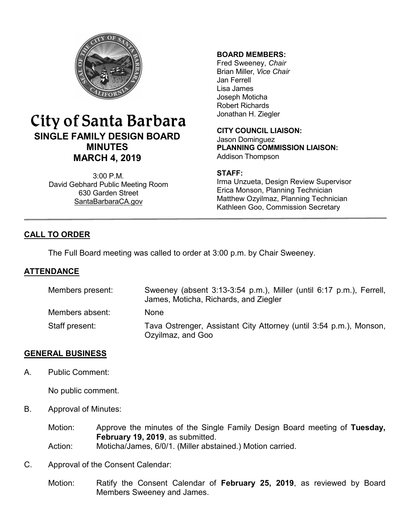

# City of Santa Barbara **SINGLE FAMILY DESIGN BOARD MINUTES MARCH 4, 2019**

3:00 P.M. David Gebhard Public Meeting Room 630 Garden Street [SantaBarbaraCA.gov](http://www.santabarbaraca.gov/)

#### **BOARD MEMBERS:**

Fred Sweeney, *Chair* Brian Miller, *Vice Chair* Jan Ferrell Lisa James Joseph Moticha Robert Richards Jonathan H. Ziegler

**CITY COUNCIL LIAISON:** Jason Dominguez **PLANNING COMMISSION LIAISON:** Addison Thompson

#### **STAFF:**

Irma Unzueta, Design Review Supervisor Erica Monson, Planning Technician Matthew Ozyilmaz, Planning Technician Kathleen Goo, Commission Secretary

# **CALL TO ORDER**

The Full Board meeting was called to order at 3:00 p.m. by Chair Sweeney.

# **ATTENDANCE**

| Members present: | Sweeney (absent 3:13-3:54 p.m.), Miller (until 6:17 p.m.), Ferrell,<br>James, Moticha, Richards, and Ziegler |
|------------------|--------------------------------------------------------------------------------------------------------------|
| Members absent:  | None                                                                                                         |
| Staff present:   | Tava Ostrenger, Assistant City Attorney (until 3:54 p.m.), Monson,<br>Ozyilmaz, and Goo                      |

# **GENERAL BUSINESS**

A. Public Comment:

No public comment.

B. Approval of Minutes:

Motion: Approve the minutes of the Single Family Design Board meeting of **Tuesday, February 19, 2019**, as submitted.

- Action: Moticha/James, 6/0/1. (Miller abstained.) Motion carried.
- C. Approval of the Consent Calendar:
	- Motion: Ratify the Consent Calendar of **February 25, 2019**, as reviewed by Board Members Sweeney and James.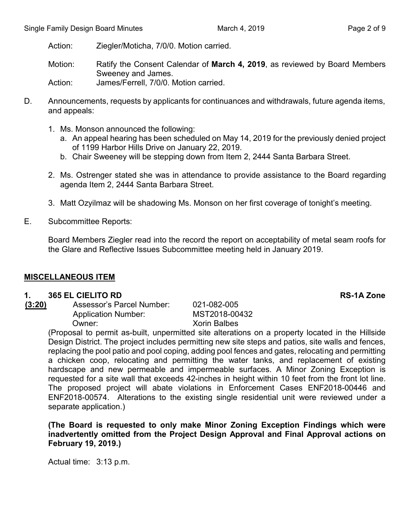Motion: Ratify the Consent Calendar of **March 4, 2019**, as reviewed by Board Members Sweeney and James.

Action: James/Ferrell, 7/0/0. Motion carried.

- D. Announcements, requests by applicants for continuances and withdrawals, future agenda items, and appeals:
	- 1. Ms. Monson announced the following:
		- a. An appeal hearing has been scheduled on May 14, 2019 for the previously denied project of 1199 Harbor Hills Drive on January 22, 2019.
		- b. Chair Sweeney will be stepping down from Item 2, 2444 Santa Barbara Street.
	- 2. Ms. Ostrenger stated she was in attendance to provide assistance to the Board regarding agenda Item 2, 2444 Santa Barbara Street.
	- 3. Matt Ozyilmaz will be shadowing Ms. Monson on her first coverage of tonight's meeting.
- E. Subcommittee Reports:

Board Members Ziegler read into the record the report on acceptability of metal seam roofs for the Glare and Reflective Issues Subcommittee meeting held in January 2019.

# **MISCELLANEOUS ITEM**

# **1. 365 EL CIELITO RD RS-1A Zone**

**(3:20)** Assessor's Parcel Number: 021-082-005 Application Number: MST2018-00432 Owner: Xorin Balbes

(Proposal to permit as-built, unpermitted site alterations on a property located in the Hillside Design District. The project includes permitting new site steps and patios, site walls and fences, replacing the pool patio and pool coping, adding pool fences and gates, relocating and permitting a chicken coop, relocating and permitting the water tanks, and replacement of existing hardscape and new permeable and impermeable surfaces. A Minor Zoning Exception is requested for a site wall that exceeds 42-inches in height within 10 feet from the front lot line. The proposed project will abate violations in Enforcement Cases ENF2018-00446 and ENF2018-00574. Alterations to the existing single residential unit were reviewed under a separate application.)

#### **(The Board is requested to only make Minor Zoning Exception Findings which were inadvertently omitted from the Project Design Approval and Final Approval actions on February 19, 2019.)**

Actual time: 3:13 p.m.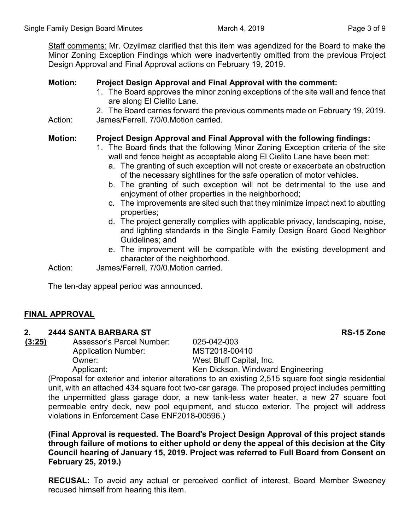Staff comments: Mr. Ozyilmaz clarified that this item was agendized for the Board to make the Minor Zoning Exception Findings which were inadvertently omitted from the previous Project Design Approval and Final Approval actions on February 19, 2019.

# **Motion: Project Design Approval and Final Approval with the comment:**

- 1. The Board approves the minor zoning exceptions of the site wall and fence that are along El Cielito Lane.
- 2. The Board carries forward the previous comments made on February 19, 2019. Action: James/Ferrell, 7/0/0.Motion carried.

# **Motion: Project Design Approval and Final Approval with the following findings:**

- 1. The Board finds that the following Minor Zoning Exception criteria of the site wall and fence height as acceptable along El Cielito Lane have been met:
	- a. The granting of such exception will not create or exacerbate an obstruction of the necessary sightlines for the safe operation of motor vehicles.
	- b. The granting of such exception will not be detrimental to the use and enjoyment of other properties in the neighborhood;
	- c. The improvements are sited such that they minimize impact next to abutting properties;
	- d. The project generally complies with applicable privacy, landscaping, noise, and lighting standards in the Single Family Design Board Good Neighbor Guidelines; and
	- e. The improvement will be compatible with the existing development and character of the neighborhood.

Action: James/Ferrell, 7/0/0.Motion carried.

The ten-day appeal period was announced.

# **FINAL APPROVAL**

#### **2. 2444 SANTA BARBARA ST RS-15 Zone**

**(3:25)** Assessor's Parcel Number: 025-042-003

Application Number: MST2018-00410

Owner: West Bluff Capital, Inc. Applicant: Ken Dickson, Windward Engineering

(Proposal for exterior and interior alterations to an existing 2,515 square foot single residential unit, with an attached 434 square foot two-car garage. The proposed project includes permitting the unpermitted glass garage door, a new tank-less water heater, a new 27 square foot permeable entry deck, new pool equipment, and stucco exterior. The project will address violations in Enforcement Case ENF2018-00596.)

**(Final Approval is requested. The Board's Project Design Approval of this project stands through failure of motions to either uphold or deny the appeal of this decision at the City Council hearing of January 15, 2019. Project was referred to Full Board from Consent on February 25, 2019.)**

**RECUSAL:** To avoid any actual or perceived conflict of interest, Board Member Sweeney recused himself from hearing this item.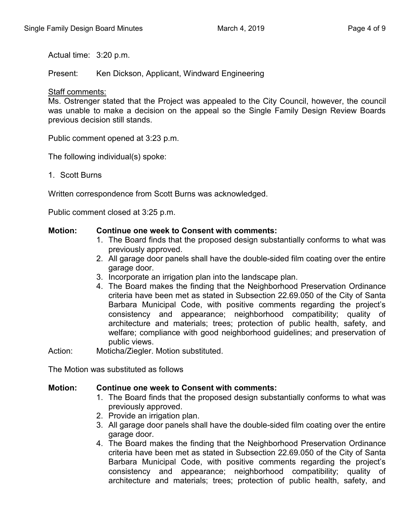Actual time: 3:20 p.m.

Present: Ken Dickson, Applicant, Windward Engineering

#### Staff comments:

Ms. Ostrenger stated that the Project was appealed to the City Council, however, the council was unable to make a decision on the appeal so the Single Family Design Review Boards previous decision still stands.

Public comment opened at 3:23 p.m.

The following individual(s) spoke:

1. Scott Burns

Written correspondence from Scott Burns was acknowledged.

Public comment closed at 3:25 p.m.

#### **Motion: Continue one week to Consent with comments:**

- 1. The Board finds that the proposed design substantially conforms to what was previously approved.
- 2. All garage door panels shall have the double-sided film coating over the entire garage door.
- 3. Incorporate an irrigation plan into the landscape plan.
- 4. The Board makes the finding that the Neighborhood Preservation Ordinance criteria have been met as stated in Subsection 22.69.050 of the City of Santa Barbara Municipal Code, with positive comments regarding the project's consistency and appearance; neighborhood compatibility; quality of architecture and materials; trees; protection of public health, safety, and welfare; compliance with good neighborhood guidelines; and preservation of public views.

Action: Moticha/Ziegler. Motion substituted.

The Motion was substituted as follows

#### **Motion: Continue one week to Consent with comments:**

- 1. The Board finds that the proposed design substantially conforms to what was previously approved.
- 2. Provide an irrigation plan.
- 3. All garage door panels shall have the double-sided film coating over the entire garage door.
- 4. The Board makes the finding that the Neighborhood Preservation Ordinance criteria have been met as stated in Subsection 22.69.050 of the City of Santa Barbara Municipal Code, with positive comments regarding the project's consistency and appearance; neighborhood compatibility; quality of architecture and materials; trees; protection of public health, safety, and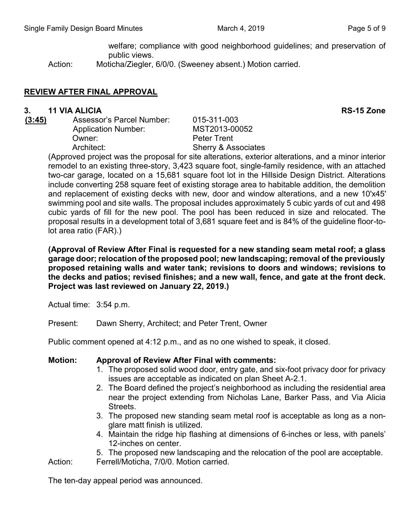welfare; compliance with good neighborhood guidelines; and preservation of public views.

Action: Moticha/Ziegler, 6/0/0. (Sweeney absent.) Motion carried.

# **REVIEW AFTER FINAL APPROVAL**

#### **3. 11 VIA ALICIA RS-15 Zone**

**(3:45)** Assessor's Parcel Number: 015-311-003 Application Number: MST2013-00052 Owner: Peter Trent Architect: Sherry & Associates

(Approved project was the proposal for site alterations, exterior alterations, and a minor interior remodel to an existing three-story, 3,423 square foot, single-family residence, with an attached two-car garage, located on a 15,681 square foot lot in the Hillside Design District. Alterations include converting 258 square feet of existing storage area to habitable addition, the demolition and replacement of existing decks with new, door and window alterations, and a new 10'x45' swimming pool and site walls. The proposal includes approximately 5 cubic yards of cut and 498 cubic yards of fill for the new pool. The pool has been reduced in size and relocated. The proposal results in a development total of 3,681 square feet and is 84% of the guideline floor-tolot area ratio (FAR).)

**(Approval of Review After Final is requested for a new standing seam metal roof; a glass garage door; relocation of the proposed pool; new landscaping; removal of the previously proposed retaining walls and water tank; revisions to doors and windows; revisions to the decks and patios; revised finishes; and a new wall, fence, and gate at the front deck. Project was last reviewed on January 22, 2019.)**

Actual time: 3:54 p.m.

Present: Dawn Sherry, Architect; and Peter Trent, Owner

Public comment opened at 4:12 p.m., and as no one wished to speak, it closed.

# **Motion: Approval of Review After Final with comments:**

- 1. The proposed solid wood door, entry gate, and six-foot privacy door for privacy issues are acceptable as indicated on plan Sheet A-2.1.
- 2. The Board defined the project's neighborhood as including the residential area near the project extending from Nicholas Lane, Barker Pass, and Via Alicia Streets.
- 3. The proposed new standing seam metal roof is acceptable as long as a nonglare matt finish is utilized.
- 4. Maintain the ridge hip flashing at dimensions of 6-inches or less, with panels' 12-inches on center.

5. The proposed new landscaping and the relocation of the pool are acceptable.

Action: Ferrell/Moticha, 7/0/0. Motion carried.

The ten-day appeal period was announced.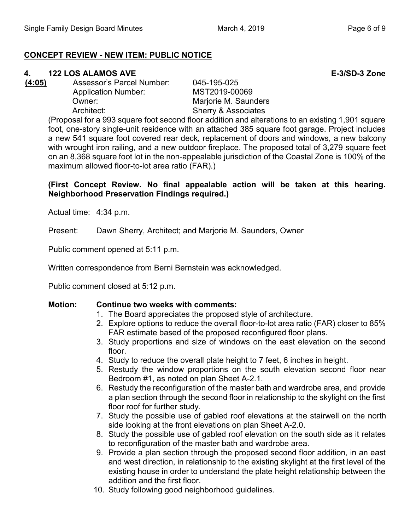# **CONCEPT REVIEW - NEW ITEM: PUBLIC NOTICE**

# **4. 122 LOS ALAMOS AVE E-3/SD-3 Zone**

- 
- **(4:05)** Assessor's Parcel Number: 045-195-025 Application Number: MST2019-00069 Owner: Marjorie M. Saunders Architect: Sherry & Associates

(Proposal for a 993 square foot second floor addition and alterations to an existing 1,901 square foot, one-story single-unit residence with an attached 385 square foot garage. Project includes a new 541 square foot covered rear deck, replacement of doors and windows, a new balcony with wrought iron railing, and a new outdoor fireplace. The proposed total of 3,279 square feet on an 8,368 square foot lot in the non-appealable jurisdiction of the Coastal Zone is 100% of the maximum allowed floor-to-lot area ratio (FAR).)

# **(First Concept Review. No final appealable action will be taken at this hearing. Neighborhood Preservation Findings required.)**

Actual time: 4:34 p.m.

Present: Dawn Sherry, Architect; and Marjorie M. Saunders, Owner

Public comment opened at 5:11 p.m.

Written correspondence from Berni Bernstein was acknowledged.

Public comment closed at 5:12 p.m.

# **Motion: Continue two weeks with comments:**

- 1. The Board appreciates the proposed style of architecture.
- 2. Explore options to reduce the overall floor-to-lot area ratio (FAR) closer to 85% FAR estimate based of the proposed reconfigured floor plans.
- 3. Study proportions and size of windows on the east elevation on the second floor.
- 4. Study to reduce the overall plate height to 7 feet, 6 inches in height.
- 5. Restudy the window proportions on the south elevation second floor near Bedroom #1, as noted on plan Sheet A-2.1.
- 6. Restudy the reconfiguration of the master bath and wardrobe area, and provide a plan section through the second floor in relationship to the skylight on the first floor roof for further study.
- 7. Study the possible use of gabled roof elevations at the stairwell on the north side looking at the front elevations on plan Sheet A-2.0.
- 8. Study the possible use of gabled roof elevation on the south side as it relates to reconfiguration of the master bath and wardrobe area.
- 9. Provide a plan section through the proposed second floor addition, in an east and west direction, in relationship to the existing skylight at the first level of the existing house in order to understand the plate height relationship between the addition and the first floor.
- 10. Study following good neighborhood guidelines.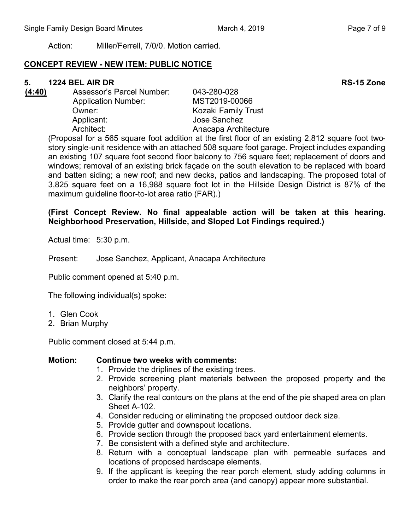# **CONCEPT REVIEW - NEW ITEM: PUBLIC NOTICE**

# **5. 1224 BEL AIR DR RS-15 Zone**

- 
- **(4:40)** Assessor's Parcel Number: 043-280-028 Application Number: MST2019-00066 Owner: Communist County Trust Applicant: Jose Sanchez Architect: Anacapa Architecture

(Proposal for a 565 square foot addition at the first floor of an existing 2,812 square foot twostory single-unit residence with an attached 508 square foot garage. Project includes expanding an existing 107 square foot second floor balcony to 756 square feet; replacement of doors and windows; removal of an existing brick façade on the south elevation to be replaced with board and batten siding; a new roof; and new decks, patios and landscaping. The proposed total of 3,825 square feet on a 16,988 square foot lot in the Hillside Design District is 87% of the maximum guideline floor-to-lot area ratio (FAR).)

# **(First Concept Review. No final appealable action will be taken at this hearing. Neighborhood Preservation, Hillside, and Sloped Lot Findings required.)**

Actual time: 5:30 p.m.

Present: Jose Sanchez, Applicant, Anacapa Architecture

Public comment opened at 5:40 p.m.

The following individual(s) spoke:

- 1. Glen Cook
- 2. Brian Murphy

Public comment closed at 5:44 p.m.

# **Motion: Continue two weeks with comments:**

- 1. Provide the driplines of the existing trees.
- 2. Provide screening plant materials between the proposed property and the neighbors' property.
- 3. Clarify the real contours on the plans at the end of the pie shaped area on plan Sheet A-102.
- 4. Consider reducing or eliminating the proposed outdoor deck size.
- 5. Provide gutter and downspout locations.
- 6. Provide section through the proposed back yard entertainment elements.
- 7. Be consistent with a defined style and architecture.
- 8. Return with a conceptual landscape plan with permeable surfaces and locations of proposed hardscape elements.
- 9. If the applicant is keeping the rear porch element, study adding columns in order to make the rear porch area (and canopy) appear more substantial.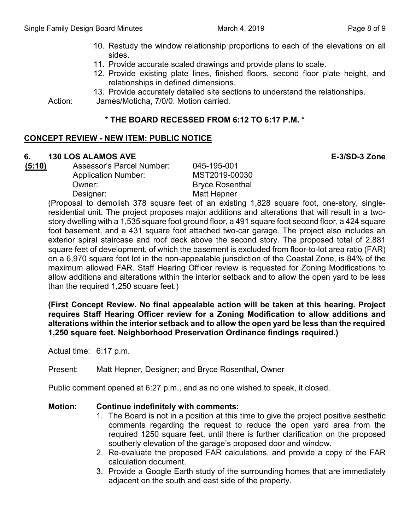- 10. Restudy the window relationship proportions to each of the elevations on all sides.
- 11. Provide accurate scaled drawings and provide plans to scale.
- 12. Provide existing plate lines, finished floors, second floor plate height, and relationships in defined dimensions.
- 13. Provide accurately detailed site sections to understand the relationships.

Action: James/Moticha, 7/0/0. Motion carried.

# **\* THE BOARD RECESSED FROM 6:12 TO 6:17 P.M. \***

# **CONCEPT REVIEW - NEW ITEM: PUBLIC NOTICE**

# **6. 130 LOS ALAMOS AVE E-3/SD-3 Zone**

**(5:10)** Assessor's Parcel Number: 045-195-001 Application Number: MST2019-00030 Owner: Bryce Rosenthal Designer: Matt Hepner

(Proposal to demolish 378 square feet of an existing 1,828 square foot, one-story, singleresidential unit. The project proposes major additions and alterations that will result in a twostory dwelling with a 1,535 square foot ground floor, a 491 square foot second floor, a 424 square foot basement, and a 431 square foot attached two-car garage. The project also includes an exterior spiral staircase and roof deck above the second story. The proposed total of 2,881 square feet of development, of which the basement is excluded from floor-to-lot area ratio (FAR) on a 6,970 square foot lot in the non-appealable jurisdiction of the Coastal Zone, is 84% of the maximum allowed FAR. Staff Hearing Officer review is requested for Zoning Modifications to allow additions and alterations within the interior setback and to allow the open yard to be less than the required 1,250 square feet.)

**(First Concept Review. No final appealable action will be taken at this hearing. Project requires Staff Hearing Officer review for a Zoning Modification to allow additions and alterations within the interior setback and to allow the open yard be less than the required 1,250 square feet. Neighborhood Preservation Ordinance findings required.)**

Actual time: 6:17 p.m.

Present: Matt Hepner, Designer; and Bryce Rosenthal, Owner

Public comment opened at 6:27 p.m., and as no one wished to speak, it closed.

# **Motion: Continue indefinitely with comments:**

- 1. The Board is not in a position at this time to give the project positive aesthetic comments regarding the request to reduce the open yard area from the required 1250 square feet, until there is further clarification on the proposed southerly elevation of the garage's proposed door and window.
- 2. Re-evaluate the proposed FAR calculations, and provide a copy of the FAR calculation document.
- 3. Provide a Google Earth study of the surrounding homes that are immediately adjacent on the south and east side of the property.